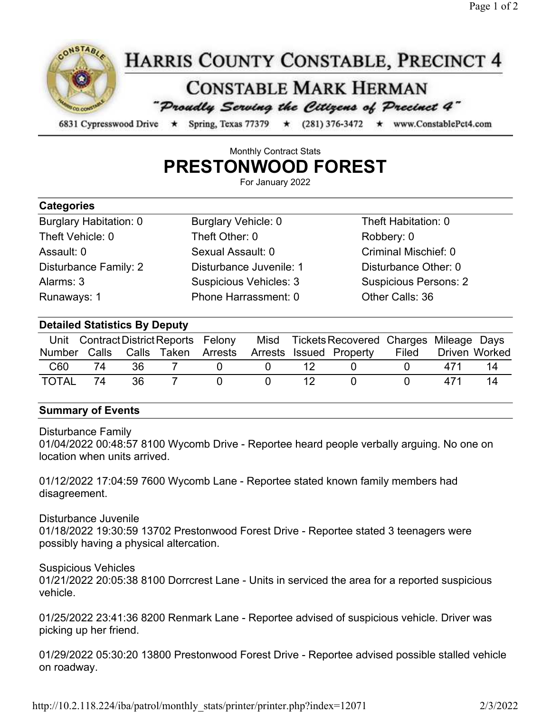

## Monthly Contract Stats PRESTONWOOD FOREST

For January 2022

| <b>Categories</b>             |                               |                              |
|-------------------------------|-------------------------------|------------------------------|
| <b>Burglary Habitation: 0</b> | Burglary Vehicle: 0           | Theft Habitation: 0          |
| Theft Vehicle: 0              | Theft Other: 0                | Robbery: 0                   |
| Assault: 0                    | Sexual Assault: 0             | Criminal Mischief: 0         |
| Disturbance Family: 2         | Disturbance Juvenile: 1       | Disturbance Other: 0         |
| Alarms: 3                     | <b>Suspicious Vehicles: 3</b> | <b>Suspicious Persons: 2</b> |
| Runaways: 1                   | Phone Harrassment: 0          | Other Calls: 36              |

## Detailed Statistics By Deputy

|       |    |    | Unit Contract District Reports Felony |  | Misd Tickets Recovered Charges Mileage Days              |       |     |               |
|-------|----|----|---------------------------------------|--|----------------------------------------------------------|-------|-----|---------------|
|       |    |    |                                       |  | Number Calls Calls Taken Arrests Arrests Issued Property | Filed |     | Driven Worked |
| C60   | 74 | 36 |                                       |  |                                                          |       | 471 | 14            |
| TOTAL | 74 | 36 |                                       |  |                                                          |       | 471 | 14            |

## Summary of Events

Disturbance Family

01/04/2022 00:48:57 8100 Wycomb Drive - Reportee heard people verbally arguing. No one on location when units arrived.

01/12/2022 17:04:59 7600 Wycomb Lane - Reportee stated known family members had disagreement.

## Disturbance Juvenile

01/18/2022 19:30:59 13702 Prestonwood Forest Drive - Reportee stated 3 teenagers were possibly having a physical altercation.

Suspicious Vehicles

01/21/2022 20:05:38 8100 Dorrcrest Lane - Units in serviced the area for a reported suspicious vehicle.

01/25/2022 23:41:36 8200 Renmark Lane - Reportee advised of suspicious vehicle. Driver was picking up her friend.

01/29/2022 05:30:20 13800 Prestonwood Forest Drive - Reportee advised possible stalled vehicle on roadway.

http://10.2.118.224/iba/patrol/monthly\_stats/printer/printer.php?index=12071 2/3/2022